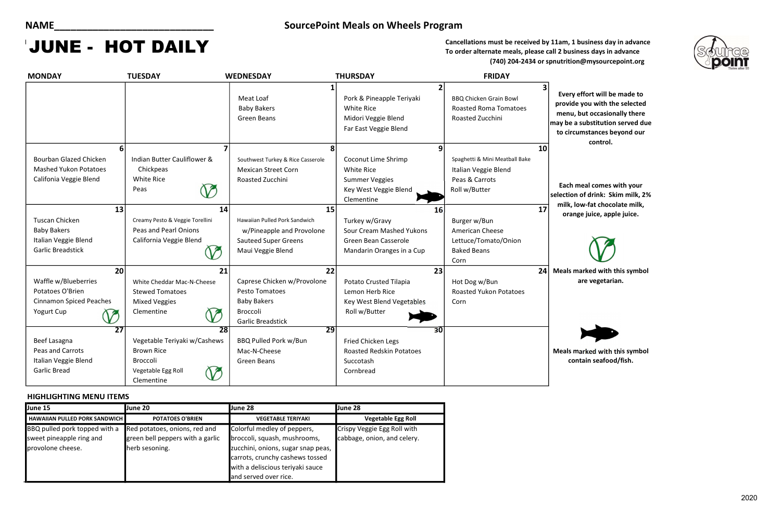effort will be made to le you with the selected , but occasionally there a substitution served due tumstances beyond our control.

meal comes with your n of drink: Skim milk, 2% low-fat chocolate milk, nge juice, apple juice.



Cancellations must be received by 11am, 1 business day in advance To order alternate meals, please call 2 business days in advance (740) 204-2434 or spnutrition@mysourcepoint.org

### HIGHLIGHTING MENU ITEMS

marked with this symbol are vegetarian.

marked with this symbol ntain seafood/fish.

| <b>MONDAY</b>                                                                                         | <b>TUESDAY</b>                                                                                                              | <b>WEDNESDAY</b>                                                                                                         | <b>THURSDAY</b>                                                                                                      | <b>FRIDAY</b>                                                                                   |                                                        |
|-------------------------------------------------------------------------------------------------------|-----------------------------------------------------------------------------------------------------------------------------|--------------------------------------------------------------------------------------------------------------------------|----------------------------------------------------------------------------------------------------------------------|-------------------------------------------------------------------------------------------------|--------------------------------------------------------|
|                                                                                                       |                                                                                                                             | 1<br>Meat Loaf<br><b>Baby Bakers</b><br><b>Green Beans</b>                                                               | 2<br>Pork & Pineapple Teriyaki<br><b>White Rice</b><br>Midori Veggie Blend<br>Far East Veggie Blend                  | 3<br><b>BBQ Chicken Grain Bowl</b><br><b>Roasted Roma Tomatoes</b><br>Roasted Zucchini          | <b>Every</b><br>provid<br>menu,<br>may be a<br>to circ |
| <b>Bourban Glazed Chicken</b><br><b>Mashed Yukon Potatoes</b><br>Califonia Veggie Blend               | Indian Butter Cauliflower &<br>Chickpeas<br><b>White Rice</b><br>Peas                                                       | 8<br>Southwest Turkey & Rice Casserole<br><b>Mexican Street Corn</b><br>Roasted Zucchini                                 | 9<br><b>Coconut Lime Shrimp</b><br><b>White Rice</b><br><b>Summer Veggies</b><br>Key West Veggie Blend<br>Clementine | 10<br>Spaghetti & Mini Meatball Bake<br>Italian Veggie Blend<br>Peas & Carrots<br>Roll w/Butter | Each i<br>selectior<br>milk, I                         |
| 13<br><b>Tuscan Chicken</b><br><b>Baby Bakers</b><br>Italian Veggie Blend<br><b>Garlic Breadstick</b> | 14<br>Creamy Pesto & Veggie Torellini<br><b>Peas and Pearl Onions</b><br>California Veggie Blend                            | 15<br>Hawaiian Pulled Pork Sandwich<br>w/Pineapple and Provolone<br><b>Sauteed Super Greens</b><br>Maui Veggie Blend     | 16<br>Turkey w/Gravy<br>Sour Cream Mashed Yukons<br>Green Bean Casserole<br>Mandarin Oranges in a Cup                | 17<br>Burger w/Bun<br>American Cheese<br>Lettuce/Tomato/Onion<br><b>Baked Beans</b><br>Corn     | oran                                                   |
| 20<br>Waffle w/Blueberries<br>Potatoes O'Brien<br><b>Cinnamon Spiced Peaches</b><br>Yogurt Cup        | 21<br>White Cheddar Mac-N-Cheese<br><b>Stewed Tomatoes</b><br><b>Mixed Veggies</b><br>Clementine                            | 22<br>Caprese Chicken w/Provolone<br><b>Pesto Tomatoes</b><br><b>Baby Bakers</b><br>Broccoli<br><b>Garlic Breadstick</b> | 23<br>Potato Crusted Tilapia<br>Lemon Herb Rice<br><b>Key West Blend Vegetables</b><br>Roll w/Butter                 | 24<br>Hot Dog w/Bun<br><b>Roasted Yukon Potatoes</b><br>Corn                                    | Meals n                                                |
| $\overline{27}$<br>Beef Lasagna<br>Peas and Carrots<br>Italian Veggie Blend<br><b>Garlic Bread</b>    | $\overline{28}$<br>Vegetable Teriyaki w/Cashews<br><b>Brown Rice</b><br><b>Broccoli</b><br>Vegetable Egg Roll<br>Clementine | $\overline{29}$<br><b>BBQ Pulled Pork w/Bun</b><br>Mac-N-Cheese<br><b>Green Beans</b>                                    | $\overline{30}$<br>Fried Chicken Legs<br><b>Roasted Redskin Potatoes</b><br>Succotash<br>Cornbread                   |                                                                                                 | Meals n<br>co <sub>1</sub>                             |

### NAME\_\_\_\_\_\_\_\_\_\_\_\_\_\_\_\_\_\_\_\_\_\_\_\_\_\_\_\_\_ SourcePoint Meals on Wheels Program

# JUNE - HOT DAILY

| June 15                                | <b>June 20</b>                   | June 28                            | <b>June 28</b>              |
|----------------------------------------|----------------------------------|------------------------------------|-----------------------------|
| <b>HAWAIIAN PULLED PORK SANDWICH I</b> | <b>POTATOES O'BRIEN</b>          | <b>VEGETABLE TERIYAKI</b>          | <b>Vegetable Egg Roll</b>   |
| BBQ pulled pork topped with a          | Red potatoes, onions, red and    | Colorful medley of peppers,        | Crispy Veggie Egg Roll with |
| sweet pineapple ring and               | green bell peppers with a garlic | broccoli, squash, mushrooms,       | cabbage, onion, and celery. |
| provolone cheese.                      | herb sesoning.                   | zucchini, onions, sugar snap peas, |                             |
|                                        |                                  | carrots, crunchy cashews tossed    |                             |
|                                        |                                  | with a deliscious teriyaki sauce   |                             |
|                                        |                                  | and served over rice.              |                             |